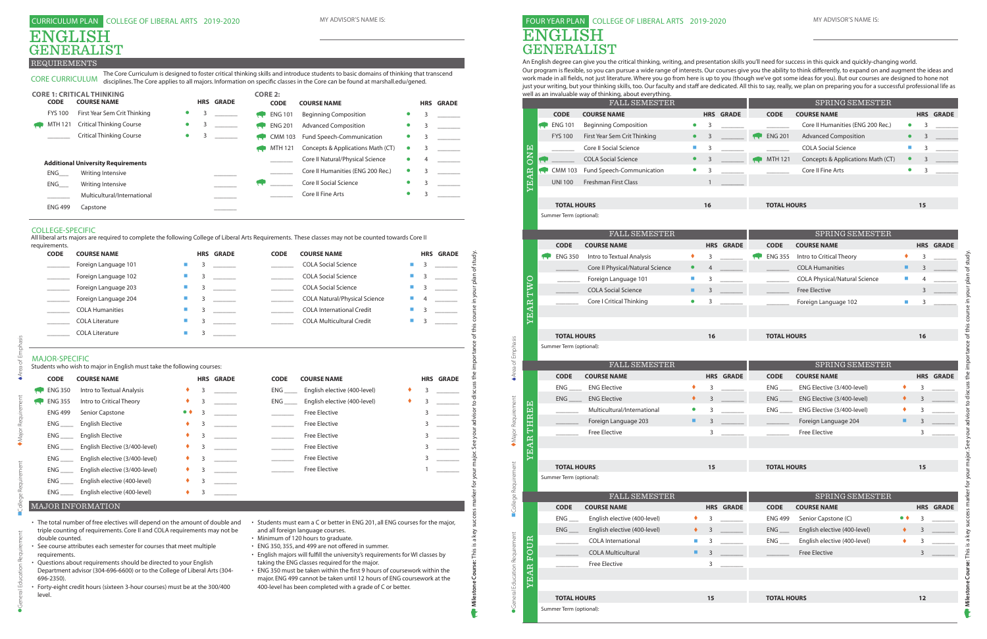REQUIREMENTS

| <b>CODE</b>                                                        | <b>COURSE NAME</b>                                                                                                                                                                                                                                                                                                                                                                                                                                                |                     |   | <b>HRS GRADE</b> | <b>CODE</b>           | <b>COURSE NAME</b>                                                                                                                                                                                                                                                                                                                                                                                                                                                                                                                                                     |    |   | <b>HRS GRADE</b> |
|--------------------------------------------------------------------|-------------------------------------------------------------------------------------------------------------------------------------------------------------------------------------------------------------------------------------------------------------------------------------------------------------------------------------------------------------------------------------------------------------------------------------------------------------------|---------------------|---|------------------|-----------------------|------------------------------------------------------------------------------------------------------------------------------------------------------------------------------------------------------------------------------------------------------------------------------------------------------------------------------------------------------------------------------------------------------------------------------------------------------------------------------------------------------------------------------------------------------------------------|----|---|------------------|
|                                                                    | Foreign Language 101                                                                                                                                                                                                                                                                                                                                                                                                                                              | п                   | 3 |                  |                       | <b>COLA Social Science</b>                                                                                                                                                                                                                                                                                                                                                                                                                                                                                                                                             |    | 3 |                  |
| $\mathcal{L}^{\text{max}}$ . The set of $\mathcal{L}^{\text{max}}$ | Foreign Language 102                                                                                                                                                                                                                                                                                                                                                                                                                                              | ш                   | 3 |                  |                       | <b>COLA Social Science</b>                                                                                                                                                                                                                                                                                                                                                                                                                                                                                                                                             |    | 3 |                  |
| $\sim$ $-$                                                         | Foreign Language 203                                                                                                                                                                                                                                                                                                                                                                                                                                              | $\blacksquare$      | 3 |                  |                       | <b>COLA Social Science</b>                                                                                                                                                                                                                                                                                                                                                                                                                                                                                                                                             | m. | 3 |                  |
| $\mathcal{L}_{\text{max}}$ and $\mathcal{L}_{\text{max}}$          | Foreign Language 204                                                                                                                                                                                                                                                                                                                                                                                                                                              | a.                  | 3 |                  |                       | <b>COLA Natural/Physical Science</b>                                                                                                                                                                                                                                                                                                                                                                                                                                                                                                                                   |    |   |                  |
|                                                                    | <b>COLA Humanities</b>                                                                                                                                                                                                                                                                                                                                                                                                                                            | $\blacksquare$      | 3 |                  |                       | <b>COLA International Credit</b>                                                                                                                                                                                                                                                                                                                                                                                                                                                                                                                                       |    | 3 |                  |
|                                                                    | <b>COLA Literature</b>                                                                                                                                                                                                                                                                                                                                                                                                                                            | a.                  | 3 |                  |                       | <b>COLA Multicultural Credit</b>                                                                                                                                                                                                                                                                                                                                                                                                                                                                                                                                       |    | 3 |                  |
|                                                                    | <b>COLA Literature</b>                                                                                                                                                                                                                                                                                                                                                                                                                                            | $\blacksquare$      | 3 |                  |                       |                                                                                                                                                                                                                                                                                                                                                                                                                                                                                                                                                                        |    |   |                  |
| <b>MAJOR-SPECIFIC</b>                                              | Students who wish to major in English must take the following courses:                                                                                                                                                                                                                                                                                                                                                                                            |                     |   |                  |                       |                                                                                                                                                                                                                                                                                                                                                                                                                                                                                                                                                                        |    |   |                  |
| <b>CODE</b>                                                        | <b>COURSE NAME</b>                                                                                                                                                                                                                                                                                                                                                                                                                                                |                     |   | <b>HRS GRADE</b> | <b>CODE</b>           | <b>COURSE NAME</b>                                                                                                                                                                                                                                                                                                                                                                                                                                                                                                                                                     |    |   | <b>HRS GRADE</b> |
| <b>ENG 350</b>                                                     | Intro to Textual Analysis                                                                                                                                                                                                                                                                                                                                                                                                                                         | ٠                   | 3 |                  | <b>ENG</b>            | English elective (400-level)                                                                                                                                                                                                                                                                                                                                                                                                                                                                                                                                           |    | 3 |                  |
| <b>ENG 355</b>                                                     | Intro to Critical Theory                                                                                                                                                                                                                                                                                                                                                                                                                                          | ٠                   | 3 |                  | $ENG$ <sub>____</sub> | English elective (400-level)                                                                                                                                                                                                                                                                                                                                                                                                                                                                                                                                           | ٠  | 3 |                  |
| <b>ENG 499</b>                                                     | Senior Capstone                                                                                                                                                                                                                                                                                                                                                                                                                                                   | $\bullet$ $\bullet$ | 3 |                  |                       | <b>Free Elective</b>                                                                                                                                                                                                                                                                                                                                                                                                                                                                                                                                                   |    | 3 |                  |
| $ENG$ <sub>_____</sub>                                             | <b>English Elective</b>                                                                                                                                                                                                                                                                                                                                                                                                                                           | ٠                   | 3 |                  |                       | <b>Free Elective</b>                                                                                                                                                                                                                                                                                                                                                                                                                                                                                                                                                   |    | 3 |                  |
| $ENG$ <sub>____</sub>                                              | <b>English Elective</b>                                                                                                                                                                                                                                                                                                                                                                                                                                           |                     | 3 |                  |                       | <b>Free Elective</b>                                                                                                                                                                                                                                                                                                                                                                                                                                                                                                                                                   |    | 3 |                  |
| ENG                                                                | English Elective (3/400-level)                                                                                                                                                                                                                                                                                                                                                                                                                                    | ٠                   | 3 |                  |                       | <b>Free Elective</b>                                                                                                                                                                                                                                                                                                                                                                                                                                                                                                                                                   |    | 3 |                  |
| <b>ENG</b>                                                         | English elective (3/400-level)                                                                                                                                                                                                                                                                                                                                                                                                                                    |                     | 3 |                  |                       | <b>Free Elective</b>                                                                                                                                                                                                                                                                                                                                                                                                                                                                                                                                                   |    | 3 |                  |
| ENG                                                                | English elective (3/400-level)                                                                                                                                                                                                                                                                                                                                                                                                                                    |                     | 3 |                  |                       | <b>Free Elective</b>                                                                                                                                                                                                                                                                                                                                                                                                                                                                                                                                                   |    |   |                  |
| ENG                                                                | English elective (400-level)                                                                                                                                                                                                                                                                                                                                                                                                                                      |                     | 3 |                  |                       |                                                                                                                                                                                                                                                                                                                                                                                                                                                                                                                                                                        |    |   |                  |
|                                                                    | ENG _______ English elective (400-level)                                                                                                                                                                                                                                                                                                                                                                                                                          |                     | 3 |                  |                       |                                                                                                                                                                                                                                                                                                                                                                                                                                                                                                                                                                        |    |   |                  |
|                                                                    | <b>MAJOR INFORMATION</b>                                                                                                                                                                                                                                                                                                                                                                                                                                          |                     |   |                  |                       |                                                                                                                                                                                                                                                                                                                                                                                                                                                                                                                                                                        |    |   |                  |
| double counted.<br>requirements.<br>696-2350).<br>level.           | • The total number of free electives will depend on the amount of double and<br>triple counting of requirements. Core II and COLA requirements may not be<br>• See course attributes each semester for courses that meet multiple<br>• Questions about requirements should be directed to your English<br>Department advisor (304-696-6600) or to the College of Liberal Arts (304-<br>• Forty-eight credit hours (sixteen 3-hour courses) must be at the 300/400 |                     |   |                  |                       | • Students must earn a C or better in ENG 201, all ENG courses for the major,<br>and all foreign language courses.<br>• Minimum of 120 hours to graduate.<br>• ENG 350, 355, and 499 are not offered in summer.<br>• English majors will fulfill the university's requirements for WI classes by<br>taking the ENG classes required for the major.<br>• ENG 350 must be taken within the first 9 hours of coursework within the<br>major. ENG 499 cannot be taken until 12 hours of ENG coursework at the<br>400-level has been completed with a grade of C or better. |    |   |                  |

- 
- 
- 
- 
- 
- 
- 
- 
- 

| requirements. |                        |  |                  |             |                                      |                             |   |                  |
|---------------|------------------------|--|------------------|-------------|--------------------------------------|-----------------------------|---|------------------|
| <b>CODE</b>   | <b>COURSE NAME</b>     |  | <b>HRS GRADE</b> | <b>CODE</b> | <b>COURSE NAME</b>                   |                             |   | <b>HRS GRADE</b> |
|               | Foreign Language 101   |  |                  |             | <b>COLA Social Science</b>           | <b>The Second</b>           |   |                  |
|               | Foreign Language 102   |  |                  |             | <b>COLA Social Science</b>           | <b>COL</b>                  |   |                  |
|               | Foreign Language 203   |  |                  |             | <b>COLA Social Science</b>           | $\mathcal{L}_{\mathcal{A}}$ |   |                  |
|               | Foreign Language 204   |  |                  |             | <b>COLA Natural/Physical Science</b> | <b>The Second</b>           | 4 |                  |
|               | <b>COLA Humanities</b> |  |                  |             | <b>COLA International Credit</b>     | <b>COL</b>                  |   |                  |
|               | <b>COLA Literature</b> |  |                  |             | <b>COLA Multicultural Credit</b>     | <b>COL</b>                  |   |                  |
|               | <b>COLA Literature</b> |  |                  |             |                                      |                             |   |                  |

CORE CURRICULUM disciplines. The Core applies to all majors. Information on specific classes in the Core can be found at marshall.edu/gened.

#### CURRICULUM PLAN COLLEGE OF LIBERAL ARTS 2019-2020 MY ADVISOR'S NAME IS:

# ENGLISH GENERALIST

An English degree can give you the critical thinking, writing, and presentation skills you'll need for success in this quick and quickly-changing world. Our program is fexible, so you can pursue a wide range of interests. Our courses give you the ability to think di ferently, to expand on and augment the ideas and work made in all felds, not just literature. Where you go from here is up to you (though we've got some ideas for you). But our courses are designed to hone not just your writing, but your thinking skills, too. Our faculty and staff are dedicated. All this to say, really, we plan on preparing you for a successful professional life as

|                | <b>CORE 1: CRITICAL THINKING</b>          |           |   |                  | <b>CORE 2:</b> |                                   |           |   |                  |
|----------------|-------------------------------------------|-----------|---|------------------|----------------|-----------------------------------|-----------|---|------------------|
| <b>CODE</b>    | <b>COURSE NAME</b>                        |           |   | <b>HRS GRADE</b> | <b>CODE</b>    | <b>COURSE NAME</b>                |           |   | <b>HRS GRADE</b> |
| <b>FYS 100</b> | First Year Sem Crit Thinking              | $\bullet$ |   |                  | <b>ENG 101</b> | <b>Beginning Composition</b>      |           | 3 |                  |
| MTH 121        | <b>Critical Thinking Course</b>           | $\bullet$ | 3 |                  | <b>ENG 201</b> | <b>Advanced Composition</b>       |           | 3 |                  |
|                | <b>Critical Thinking Course</b>           | $\bullet$ |   |                  | <b>CMM 103</b> | Fund Speech-Communication         |           | 3 |                  |
|                |                                           |           |   |                  | MTH 121        | Concepts & Applications Math (CT) |           | 3 |                  |
|                | <b>Additional University Requirements</b> |           |   |                  |                | Core II Natural/Physical Science  |           | 4 |                  |
| ENG            | Writing Intensive                         |           |   |                  |                | Core II Humanities (ENG 200 Rec.) | $\bullet$ | 3 |                  |
| ENG            | Writing Intensive                         |           |   |                  |                | Core II Social Science            |           | 3 |                  |
|                | Multicultural/International               |           |   |                  |                | Core II Fine Arts                 |           | 3 |                  |
| <b>ENG 499</b> | Capstone                                  |           |   |                  |                |                                   |           |   |                  |

|                  |                                               | well as an invaluable way of thinking, about everything.<br><b>FALL SEMESTER</b> |            |                |              |
|------------------|-----------------------------------------------|----------------------------------------------------------------------------------|------------|----------------|--------------|
|                  | <b>CODE</b>                                   | <b>COURSE NAME</b>                                                               |            | <b>HRS</b>     | <b>GRADE</b> |
|                  | <b>ENG 101</b>                                | <b>Beginning Composition</b>                                                     | $\bullet$  | 3              |              |
|                  | <b>FYS 100</b>                                | First Year Sem Crit Thinking                                                     |            | 3              |              |
|                  |                                               | Core II Social Science                                                           |            | 3              |              |
|                  |                                               | <b>COLA Social Science</b>                                                       |            | 3              |              |
|                  | <b>CMM 103</b><br><b>Contract</b>             | Fund Speech-Communication                                                        |            | 3              |              |
| <b>YEAR ONE</b>  | <b>UNI 100</b>                                | <b>Freshman First Class</b>                                                      |            | $\mathbf{1}$   |              |
|                  |                                               |                                                                                  |            |                |              |
|                  | <b>TOTAL HOURS</b>                            |                                                                                  |            | 16             |              |
|                  | Summer Term (optional):                       |                                                                                  |            |                |              |
|                  |                                               |                                                                                  |            |                |              |
|                  |                                               | FALL SEMESTER                                                                    |            |                |              |
|                  | <b>CODE</b>                                   | <b>COURSE NAME</b>                                                               |            | <b>HRS</b>     | <b>GRADE</b> |
|                  | <b>ENG 350</b>                                | Intro to Textual Analysis                                                        |            | 3              |              |
|                  |                                               | Core II Physical/Natural Science                                                 |            | $\overline{4}$ |              |
|                  |                                               | Foreign Language 101                                                             | <b>COL</b> | 3              |              |
|                  |                                               | <b>COLA Social Science</b>                                                       |            | 3              |              |
|                  |                                               | Core I Critical Thinking                                                         |            | 3              |              |
| <b>YEAR TWO</b>  |                                               |                                                                                  |            |                |              |
|                  |                                               |                                                                                  |            |                |              |
|                  | <b>TOTAL HOURS</b><br>Summer Term (optional): |                                                                                  |            | 16             |              |
|                  |                                               |                                                                                  |            |                |              |
|                  |                                               | FALL SEMESTER                                                                    |            |                |              |
|                  | <b>CODE</b>                                   | <b>COURSE NAME</b>                                                               |            | <b>HRS</b>     | <b>GRADE</b> |
|                  |                                               | <b>ENG Elective</b>                                                              | ٠          | 3              |              |
|                  | $ENG$ <sub>_____</sub>                        | <b>ENG Elective</b>                                                              |            | 3              |              |
|                  |                                               | Multicultural/International                                                      |            | 3              |              |
| THREE            |                                               | Foreign Language 203                                                             | ■          | 3              |              |
|                  |                                               | <b>Free Elective</b>                                                             |            | 3              |              |
| EAR'             |                                               |                                                                                  |            |                |              |
| ∺                |                                               |                                                                                  |            |                |              |
|                  |                                               |                                                                                  |            |                |              |
|                  | <b>TOTAL HOURS</b>                            |                                                                                  |            | 15             |              |
|                  | Summer Term (optional):                       |                                                                                  |            |                |              |
|                  |                                               |                                                                                  |            |                |              |
|                  | <b>CODE</b>                                   | FALL SEMESTER<br><b>COURSE NAME</b>                                              |            | <b>HRS</b>     | <b>GRADE</b> |
|                  | $ENG$ <sub>___</sub>                          | English elective (400-level)                                                     |            | 3              |              |
|                  | $ENG$ $-$                                     | English elective (400-level)                                                     |            | 3              |              |
|                  |                                               | <b>COLA International</b>                                                        |            | 3              |              |
|                  |                                               | <b>COLA Multicultural</b>                                                        | ▄          | 3              |              |
|                  |                                               | <b>Free Elective</b>                                                             |            | 3              |              |
|                  |                                               |                                                                                  |            |                |              |
| <b>YEAR FOUR</b> |                                               |                                                                                  |            |                |              |
|                  | <b>TOTAL HOURS</b>                            |                                                                                  |            | 15             |              |
|                  | Summer Term (optional):                       |                                                                                  |            |                |              |

#### COLLEGE-SPECIFIC

All liberal arts majors are required to complete the following College of Liberal Arts Requirements. These classes may not be counted towards Core II

**GRADE** ENG 355 Intro to Critical Theory  $\begin{array}{ccc} \bullet & \bullet & \bullet \\ \hline \end{array}$ COLA Humanities \_\_\_\_\_\_\_ COLA Physical/Natural Science <sup>4</sup> \_\_\_\_\_\_\_ Free Elective Foreign Language 102 **3 CODE COURSE NAME HRS GRADE TOTAL HOURS 16** $16$ SPRING SEMESTER

The Core Curriculum is designed to foster critical thinking skills and introduce students to basic domains of thinking that transcend

| R |           |   |                  |                | SPRING SEMESTER                   |            |              |
|---|-----------|---|------------------|----------------|-----------------------------------|------------|--------------|
|   |           |   | <b>HRS GRADE</b> | <b>CODE</b>    | <b>COURSE NAME</b>                | <b>HRS</b> | <b>GRADE</b> |
|   | $\bullet$ | 3 |                  |                | Core II Humanities (ENG 200 Rec.) | 3          |              |
|   |           | 3 |                  | <b>ENG 201</b> | <b>Advanced Composition</b>       | 3          |              |
|   |           | 3 |                  |                | <b>COLA Social Science</b>        | 3          |              |
|   |           | 3 |                  | <b>MTH 121</b> | Concepts & Applications Math (CT) | 3          |              |
|   |           | 3 |                  |                | Core II Fine Arts                 | 3          |              |
|   |           |   |                  |                |                                   |            |              |
|   |           |   |                  |                |                                   |            |              |

#### **TOTAL HOURS 15**

## FOUR YEAR PLAN COLLEGE OF LIBERAL ARTS 2019-2020 ENGLISHGENERALIST

| $\rm{R}$ |    |                  |                    | <b>SPRING SEMESTER</b>     |    |                  |
|----------|----|------------------|--------------------|----------------------------|----|------------------|
|          |    | <b>HRS GRADE</b> | <b>CODE</b>        | <b>COURSE NAME</b>         |    | <b>HRS GRADE</b> |
|          | 3  |                  | <b>ENG</b>         | ENG Elective (3/400-level) | 3  |                  |
|          | 3  |                  | <b>ENG</b>         | ENG Elective (3/400-level) | 3  |                  |
|          | 3  |                  | ENG                | ENG Elective (3/400-level) | 3  |                  |
|          | 3  |                  |                    | Foreign Language 204       | 3  |                  |
|          | 3  |                  |                    | <b>Free Elective</b>       | 3  |                  |
|          |    |                  |                    |                            |    |                  |
|          |    |                  |                    |                            |    |                  |
|          | 15 |                  | <b>TOTAL HOURS</b> |                            | 15 |                  |
|          |    |                  |                    |                            |    |                  |

| $\rm{R}$ |    |                  |                       | <b>SPRING SEMESTER</b>       |                  |                |              |
|----------|----|------------------|-----------------------|------------------------------|------------------|----------------|--------------|
|          |    | <b>HRS GRADE</b> | <b>CODE</b>           | <b>COURSE NAME</b>           |                  | <b>HRS</b>     | <b>GRADE</b> |
|          | 3  |                  | ENG 499               | Senior Capstone (C)          | $\bullet\bullet$ | 3              |              |
|          | 3  |                  | $ENG$ <sub>____</sub> | English elective (400-level) |                  | 3              |              |
|          | 3  |                  |                       | English elective (400-level) |                  | 3              |              |
|          | 3  |                  |                       | <b>Free Elective</b>         |                  | $\overline{3}$ |              |
|          | 3  |                  |                       |                              |                  |                |              |
|          |    |                  |                       |                              |                  |                |              |
|          |    |                  |                       |                              |                  |                |              |
|          | 15 |                  | <b>TOTAL HOURS</b>    |                              |                  | 12             |              |
|          |    |                  |                       |                              |                  |                |              |

 $15$